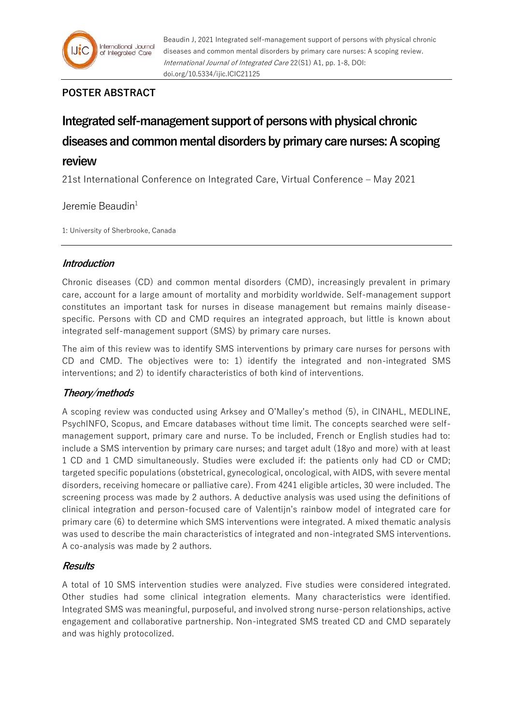

# **POSTER ABSTRACT**

# **Integrated self-management support of persons with physical chronic diseases and common mental disorders by primary care nurses: A scoping review**

21st International Conference on Integrated Care, Virtual Conference – May 2021

## Jeremie Beaudin $1$

1: University of Sherbrooke, Canada

## **Introduction**

Chronic diseases (CD) and common mental disorders (CMD), increasingly prevalent in primary care, account for a large amount of mortality and morbidity worldwide. Self-management support constitutes an important task for nurses in disease management but remains mainly diseasespecific. Persons with CD and CMD requires an integrated approach, but little is known about integrated self-management support (SMS) by primary care nurses.

The aim of this review was to identify SMS interventions by primary care nurses for persons with CD and CMD. The objectives were to: 1) identify the integrated and non-integrated SMS interventions; and 2) to identify characteristics of both kind of interventions.

## **Theory/methods**

A scoping review was conducted using Arksey and O'Malley's method (5), in CINAHL, MEDLINE, PsychINFO, Scopus, and Emcare databases without time limit. The concepts searched were selfmanagement support, primary care and nurse. To be included, French or English studies had to: include a SMS intervention by primary care nurses; and target adult (18yo and more) with at least 1 CD and 1 CMD simultaneously. Studies were excluded if: the patients only had CD or CMD; targeted specific populations (obstetrical, gynecological, oncological, with AIDS, with severe mental disorders, receiving homecare or palliative care). From 4241 eligible articles, 30 were included. The screening process was made by 2 authors. A deductive analysis was used using the definitions of clinical integration and person-focused care of Valentijn's rainbow model of integrated care for primary care (6) to determine which SMS interventions were integrated. A mixed thematic analysis was used to describe the main characteristics of integrated and non-integrated SMS interventions. A co-analysis was made by 2 authors.

## **Results**

A total of 10 SMS intervention studies were analyzed. Five studies were considered integrated. Other studies had some clinical integration elements. Many characteristics were identified. Integrated SMS was meaningful, purposeful, and involved strong nurse-person relationships, active engagement and collaborative partnership. Non-integrated SMS treated CD and CMD separately and was highly protocolized.